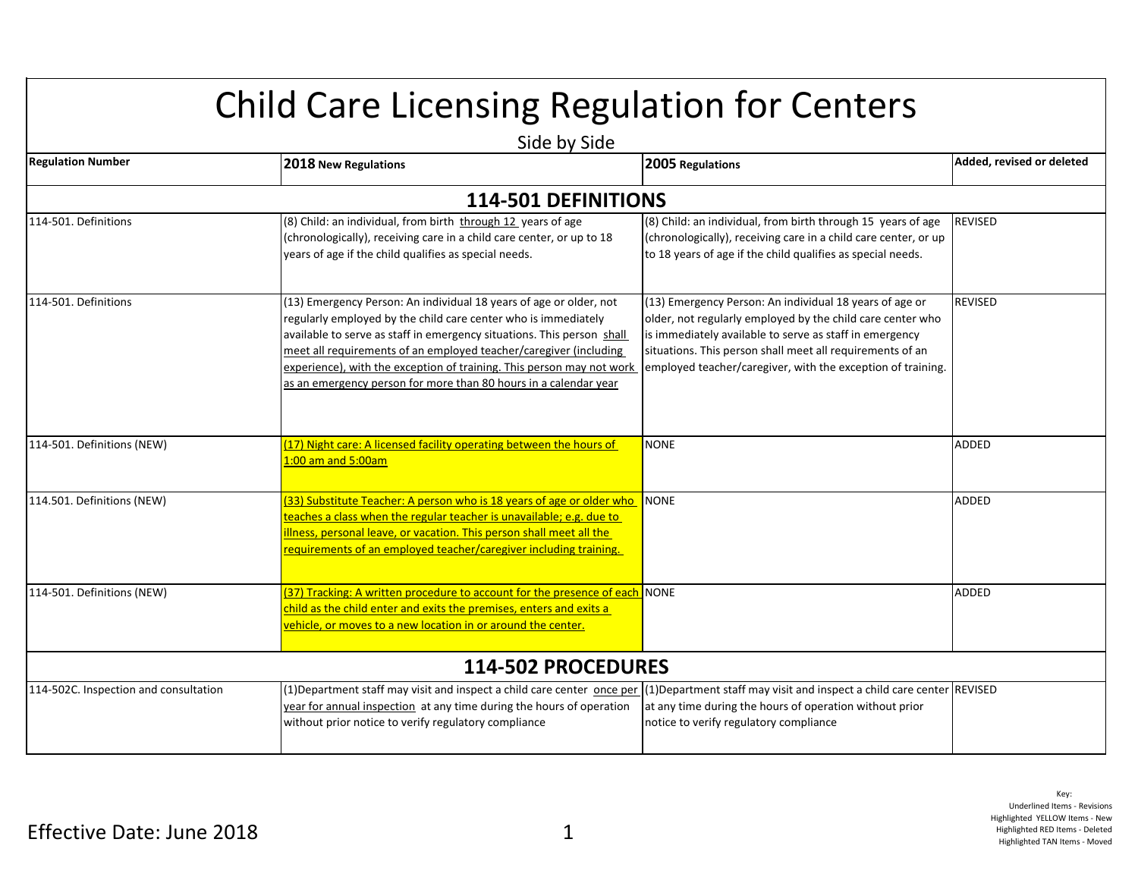## Child Care Licensing Regulation for Centers

| Side by Side                          |                                                                                                                                                                                                                                                                                                                                                                                                                                  |                                                                                                                                                                                                                                                                                                              |                           |
|---------------------------------------|----------------------------------------------------------------------------------------------------------------------------------------------------------------------------------------------------------------------------------------------------------------------------------------------------------------------------------------------------------------------------------------------------------------------------------|--------------------------------------------------------------------------------------------------------------------------------------------------------------------------------------------------------------------------------------------------------------------------------------------------------------|---------------------------|
| <b>Regulation Number</b>              | 2018 New Regulations                                                                                                                                                                                                                                                                                                                                                                                                             | 2005 Regulations                                                                                                                                                                                                                                                                                             | Added, revised or deleted |
|                                       | <b>114-501 DEFINITIONS</b>                                                                                                                                                                                                                                                                                                                                                                                                       |                                                                                                                                                                                                                                                                                                              |                           |
| 114-501. Definitions                  | (8) Child: an individual, from birth through 12 years of age<br>(chronologically), receiving care in a child care center, or up to 18<br>years of age if the child qualifies as special needs.                                                                                                                                                                                                                                   | (8) Child: an individual, from birth through 15 years of age<br>(chronologically), receiving care in a child care center, or up<br>to 18 years of age if the child qualifies as special needs.                                                                                                               | <b>REVISED</b>            |
| 114-501. Definitions                  | (13) Emergency Person: An individual 18 years of age or older, not<br>regularly employed by the child care center who is immediately<br>available to serve as staff in emergency situations. This person shall<br>meet all requirements of an employed teacher/caregiver (including<br>experience), with the exception of training. This person may not work<br>as an emergency person for more than 80 hours in a calendar year | (13) Emergency Person: An individual 18 years of age or<br>older, not regularly employed by the child care center who<br>is immediately available to serve as staff in emergency<br>situations. This person shall meet all requirements of an<br>employed teacher/caregiver, with the exception of training. | REVISED                   |
| 114-501. Definitions (NEW)            | (17) Night care: A licensed facility operating between the hours of<br>1:00 am and 5:00am                                                                                                                                                                                                                                                                                                                                        | <b>NONE</b>                                                                                                                                                                                                                                                                                                  | <b>ADDED</b>              |
| 114.501. Definitions (NEW)            | (33) Substitute Teacher: A person who is 18 years of age or older who<br>teaches a class when the regular teacher is unavailable; e.g. due to<br>illness, personal leave, or vacation. This person shall meet all the<br>requirements of an employed teacher/caregiver including training.                                                                                                                                       | <b>NONE</b>                                                                                                                                                                                                                                                                                                  | <b>ADDED</b>              |
| 114-501. Definitions (NEW)            | [37] Tracking: A written procedure to account for the presence of each NONE<br>child as the child enter and exits the premises, enters and exits a<br>vehicle, or moves to a new location in or around the center.                                                                                                                                                                                                               |                                                                                                                                                                                                                                                                                                              | ADDED                     |
|                                       | 114-502 PROCEDURES                                                                                                                                                                                                                                                                                                                                                                                                               |                                                                                                                                                                                                                                                                                                              |                           |
| 114-502C. Inspection and consultation | (1) Department staff may visit and inspect a child care center once per (1) Department staff may visit and inspect a child care center REVISED<br>year for annual inspection at any time during the hours of operation<br>without prior notice to verify regulatory compliance                                                                                                                                                   | at any time during the hours of operation without prior<br>notice to verify regulatory compliance                                                                                                                                                                                                            |                           |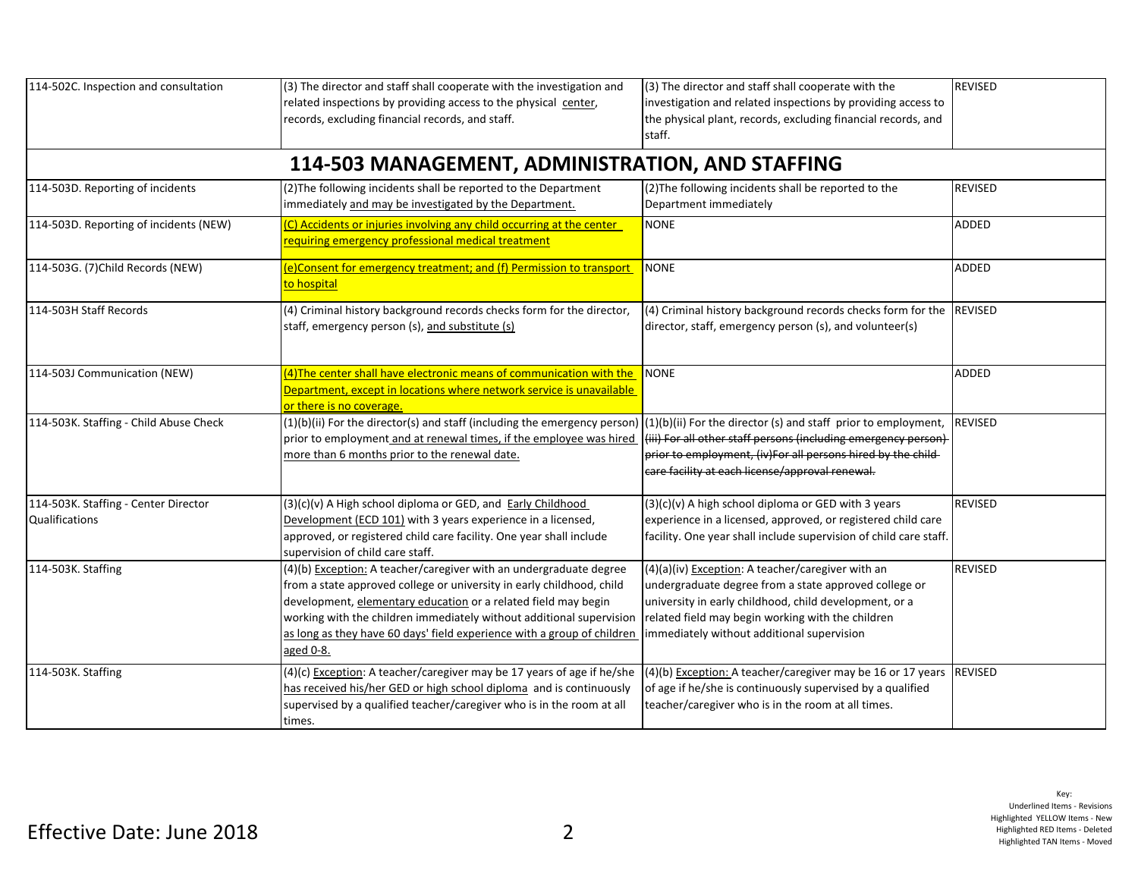| 114-502C. Inspection and consultation                  | (3) The director and staff shall cooperate with the investigation and<br>related inspections by providing access to the physical center,<br>records, excluding financial records, and staff.                                                                                                                                                                                  | (3) The director and staff shall cooperate with the<br>investigation and related inspections by providing access to<br>the physical plant, records, excluding financial records, and<br>staff.                                                                          | <b>REVISED</b> |
|--------------------------------------------------------|-------------------------------------------------------------------------------------------------------------------------------------------------------------------------------------------------------------------------------------------------------------------------------------------------------------------------------------------------------------------------------|-------------------------------------------------------------------------------------------------------------------------------------------------------------------------------------------------------------------------------------------------------------------------|----------------|
|                                                        | 114-503 MANAGEMENT, ADMINISTRATION, AND STAFFING                                                                                                                                                                                                                                                                                                                              |                                                                                                                                                                                                                                                                         |                |
| 114-503D. Reporting of incidents                       | (2) The following incidents shall be reported to the Department<br>immediately and may be investigated by the Department.                                                                                                                                                                                                                                                     | (2) The following incidents shall be reported to the<br>Department immediately                                                                                                                                                                                          | <b>REVISED</b> |
| 114-503D. Reporting of incidents (NEW)                 | (C) Accidents or injuries involving any child occurring at the center<br>requiring emergency professional medical treatment                                                                                                                                                                                                                                                   | <b>NONE</b>                                                                                                                                                                                                                                                             | <b>ADDED</b>   |
| 114-503G. (7) Child Records (NEW)                      | (e)Consent for emergency treatment; and (f) Permission to transport<br>to hospital                                                                                                                                                                                                                                                                                            | <b>NONE</b>                                                                                                                                                                                                                                                             | ADDED          |
| 114-503H Staff Records                                 | (4) Criminal history background records checks form for the director,<br>staff, emergency person (s), and substitute (s)                                                                                                                                                                                                                                                      | $(4)$ Criminal history background records checks form for the REVISED<br>director, staff, emergency person (s), and volunteer(s)                                                                                                                                        |                |
| 114-503J Communication (NEW)                           | (4) The center shall have electronic means of communication with the<br>Department, except in locations where network service is unavailable<br>or there is no coverage                                                                                                                                                                                                       | <b>NONE</b>                                                                                                                                                                                                                                                             | <b>ADDED</b>   |
| 114-503K. Staffing - Child Abuse Check                 | (1)(b)(ii) For the director(s) and staff (including the emergency person)<br>prior to employment and at renewal times, if the employee was hired<br>more than 6 months prior to the renewal date.                                                                                                                                                                             | $(1)(b)(ii)$ For the director (s) and staff prior to employment,<br>(iii) For all other staff persons (including emergency person)<br>prior to employment, (iv)For all persons hired by the child-<br>care facility at each license/approval renewal.                   | <b>REVISED</b> |
| 114-503K. Staffing - Center Director<br>Qualifications | (3)(c)(v) A High school diploma or GED, and Early Childhood<br>Development (ECD 101) with 3 years experience in a licensed,<br>approved, or registered child care facility. One year shall include<br>supervision of child care staff.                                                                                                                                        | (3)(c)(v) A high school diploma or GED with 3 years<br>experience in a licensed, approved, or registered child care<br>facility. One year shall include supervision of child care staff.                                                                                | REVISED        |
| 114-503K. Staffing                                     | (4)(b) Exception: A teacher/caregiver with an undergraduate degree<br>from a state approved college or university in early childhood, child<br>development, elementary education or a related field may begin<br>working with the children immediately without additional supervision<br>as long as they have 60 days' field experience with a group of children<br>aged 0-8. | (4)(a)(iv) Exception: A teacher/caregiver with an<br>undergraduate degree from a state approved college or<br>university in early childhood, child development, or a<br>related field may begin working with the children<br>immediately without additional supervision | REVISED        |
| 114-503K. Staffing                                     | (4)(c) Exception: A teacher/caregiver may be 17 years of age if he/she<br>has received his/her GED or high school diploma and is continuously<br>supervised by a qualified teacher/caregiver who is in the room at all<br>times.                                                                                                                                              | (4)(b) Exception: A teacher/caregiver may be 16 or 17 years  REVISED<br>of age if he/she is continuously supervised by a qualified<br>teacher/caregiver who is in the room at all times.                                                                                |                |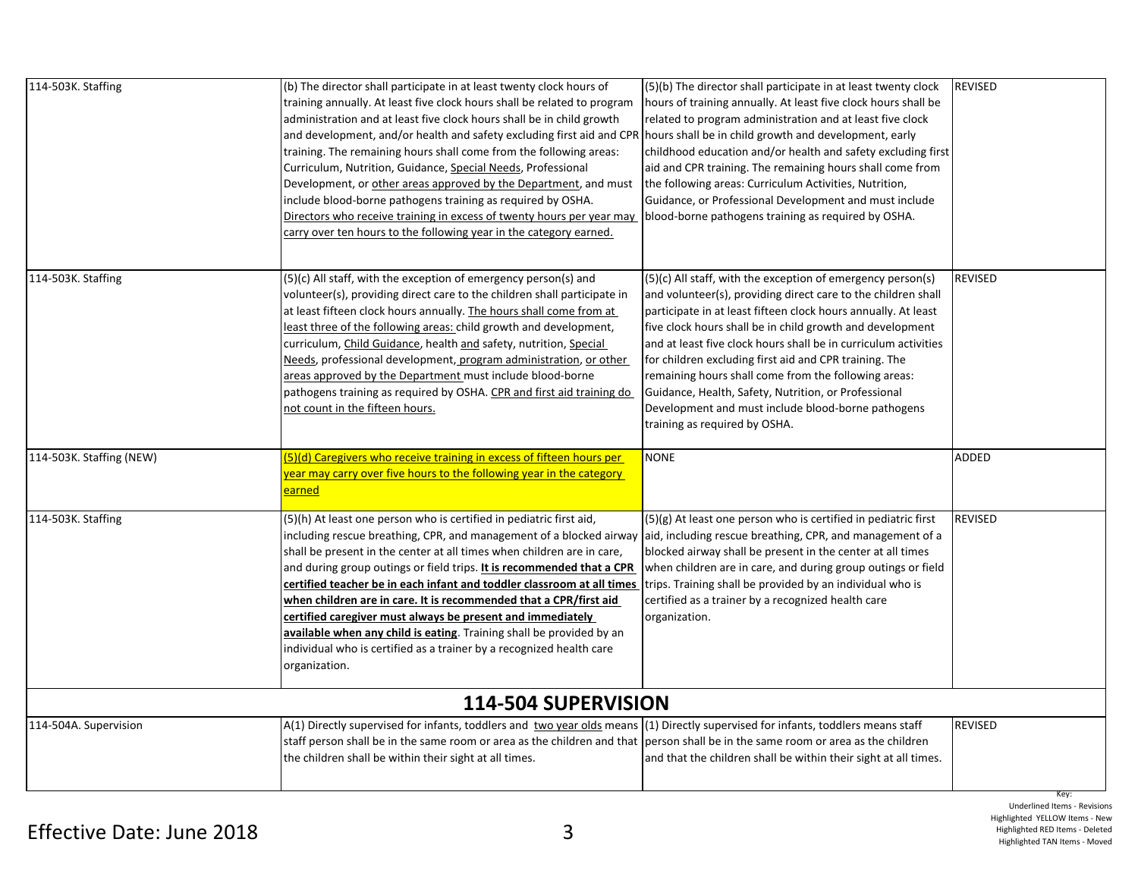| 114-503K. Staffing       | (b) The director shall participate in at least twenty clock hours of<br>training annually. At least five clock hours shall be related to program<br>administration and at least five clock hours shall be in child growth<br>and development, and/or health and safety excluding first aid and CPR<br>training. The remaining hours shall come from the following areas:<br>Curriculum, Nutrition, Guidance, Special Needs, Professional<br>Development, or other areas approved by the Department, and must<br>include blood-borne pathogens training as required by OSHA.<br>Directors who receive training in excess of twenty hours per year may<br>carry over ten hours to the following year in the category earned. | (5)(b) The director shall participate in at least twenty clock<br>hours of training annually. At least five clock hours shall be<br>related to program administration and at least five clock<br>hours shall be in child growth and development, early<br>childhood education and/or health and safety excluding first<br>aid and CPR training. The remaining hours shall come from<br>the following areas: Curriculum Activities, Nutrition,<br>Guidance, or Professional Development and must include<br>blood-borne pathogens training as required by OSHA.                                  | <b>REVISED</b>         |
|--------------------------|----------------------------------------------------------------------------------------------------------------------------------------------------------------------------------------------------------------------------------------------------------------------------------------------------------------------------------------------------------------------------------------------------------------------------------------------------------------------------------------------------------------------------------------------------------------------------------------------------------------------------------------------------------------------------------------------------------------------------|-------------------------------------------------------------------------------------------------------------------------------------------------------------------------------------------------------------------------------------------------------------------------------------------------------------------------------------------------------------------------------------------------------------------------------------------------------------------------------------------------------------------------------------------------------------------------------------------------|------------------------|
| 114-503K. Staffing       | (5)(c) All staff, with the exception of emergency person(s) and<br>volunteer(s), providing direct care to the children shall participate in<br>at least fifteen clock hours annually. The hours shall come from at<br>least three of the following areas: child growth and development,<br>curriculum, Child Guidance, health and safety, nutrition, Special<br>Needs, professional development, program administration, or other<br>areas approved by the Department must include blood-borne<br>pathogens training as required by OSHA. CPR and first aid training do<br>not count in the fifteen hours.                                                                                                                 | (5)(c) All staff, with the exception of emergency person(s)<br>and volunteer(s), providing direct care to the children shall<br>participate in at least fifteen clock hours annually. At least<br>five clock hours shall be in child growth and development<br>and at least five clock hours shall be in curriculum activities<br>for children excluding first aid and CPR training. The<br>remaining hours shall come from the following areas:<br>Guidance, Health, Safety, Nutrition, or Professional<br>Development and must include blood-borne pathogens<br>training as required by OSHA. | REVISED                |
| 114-503K. Staffing (NEW) | 5)(d) Caregivers who receive training in excess of fifteen hours per<br>year may carry over five hours to the following year in the category<br>earned                                                                                                                                                                                                                                                                                                                                                                                                                                                                                                                                                                     | <b>NONE</b>                                                                                                                                                                                                                                                                                                                                                                                                                                                                                                                                                                                     | ADDED                  |
| 114-503K. Staffing       | (5)(h) At least one person who is certified in pediatric first aid,<br>including rescue breathing, CPR, and management of a blocked airway<br>shall be present in the center at all times when children are in care,<br>and during group outings or field trips. It is recommended that a CPR<br>certified teacher be in each infant and toddler classroom at all times<br>when children are in care. It is recommended that a CPR/first aid<br>certified caregiver must always be present and immediately<br>available when any child is eating. Training shall be provided by an<br>individual who is certified as a trainer by a recognized health care<br>organization.                                                | $(5)(g)$ At least one person who is certified in pediatric first<br>aid, including rescue breathing, CPR, and management of a<br>blocked airway shall be present in the center at all times<br>when children are in care, and during group outings or field<br>trips. Training shall be provided by an individual who is<br>certified as a trainer by a recognized health care<br>organization.                                                                                                                                                                                                 | <b>REVISED</b>         |
|                          | 114-504 SUPERVISION                                                                                                                                                                                                                                                                                                                                                                                                                                                                                                                                                                                                                                                                                                        |                                                                                                                                                                                                                                                                                                                                                                                                                                                                                                                                                                                                 |                        |
| 114-504A. Supervision    | A(1) Directly supervised for infants, toddlers and two year olds means (1) Directly supervised for infants, toddlers means staff<br>staff person shall be in the same room or area as the children and that  person shall be in the same room or area as the children<br>the children shall be within their sight at all times.                                                                                                                                                                                                                                                                                                                                                                                            | and that the children shall be within their sight at all times.                                                                                                                                                                                                                                                                                                                                                                                                                                                                                                                                 | <b>REVISED</b><br>Key: |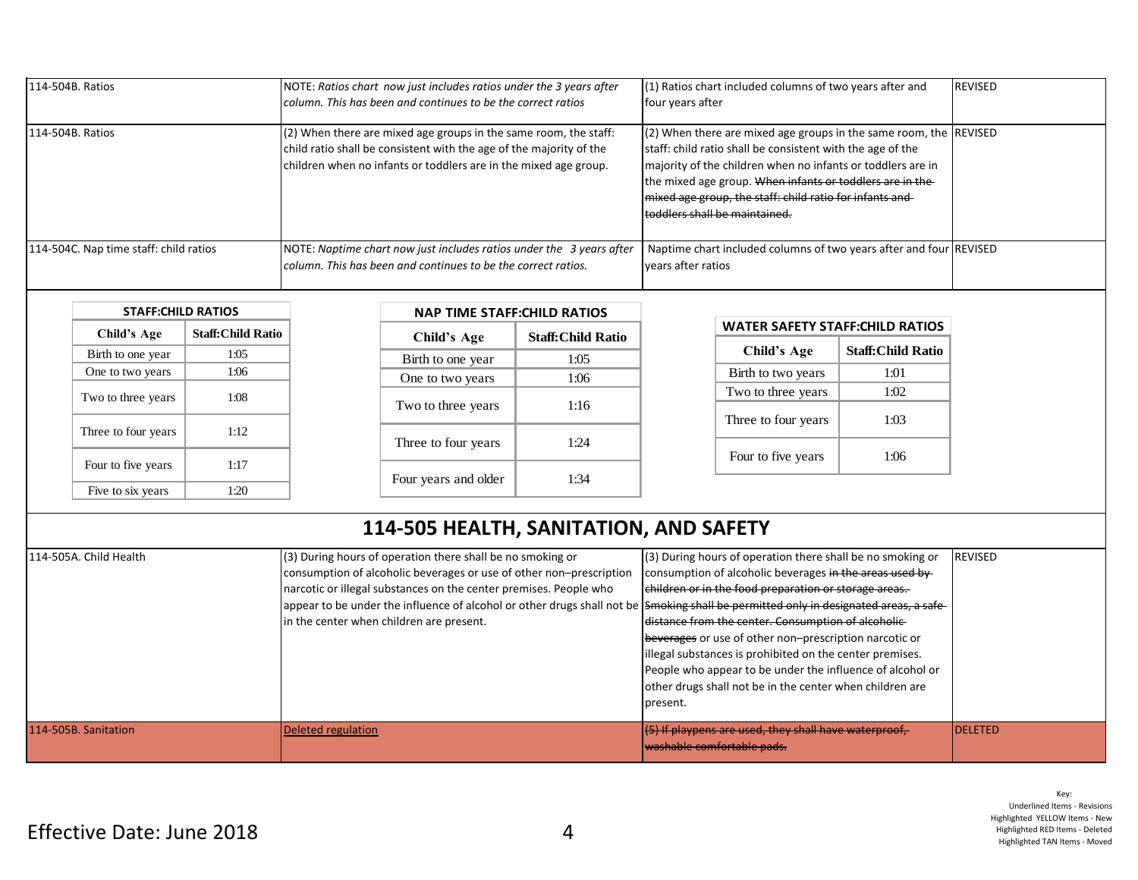| 114-504B. Ratios                       | NOTE: Ratios chart now just includes ratios under the 3 years after<br>column. This has been and continues to be the correct ratios                                                                           | $(1)$ Ratios chart included columns of two years after and<br>four years after                                                                                                                                                                                                                                                                             | <b>REVISED</b> |
|----------------------------------------|---------------------------------------------------------------------------------------------------------------------------------------------------------------------------------------------------------------|------------------------------------------------------------------------------------------------------------------------------------------------------------------------------------------------------------------------------------------------------------------------------------------------------------------------------------------------------------|----------------|
| 114-504B. Ratios                       | $(2)$ When there are mixed age groups in the same room, the staff:<br>child ratio shall be consistent with the age of the majority of the<br>children when no infants or toddlers are in the mixed age group. | $(2)$ When there are mixed age groups in the same room, the REVISED<br>staff: child ratio shall be consistent with the age of the<br>majority of the children when no infants or toddlers are in<br>the mixed age group. When infants or toddlers are in the-<br>mixed age group, the staff: child ratio for infants and-<br>toddlers shall be maintained. |                |
| 114-504C. Nap time staff: child ratios | NOTE: Naptime chart now just includes ratios under the 3 years after<br>column. This has been and continues to be the correct ratios.                                                                         | Naptime chart included columns of two years after and four REVISED<br>vears after ratios                                                                                                                                                                                                                                                                   |                |

| <b>STAFF:CHILD RATIOS</b> |                          |  |
|---------------------------|--------------------------|--|
| Child's Age               | <b>Staff:Child Ratio</b> |  |
| Birth to one year         | 1:05                     |  |
| One to two years          | 1:06                     |  |
| Two to three years        | 1:08                     |  |
| Three to four years       | 1:12                     |  |
| Four to five years        | 1:17                     |  |
| Five to six years         | 1:20                     |  |

| <b>NAP TIME STAFF: CHILD RATIOS</b> |                          |  |
|-------------------------------------|--------------------------|--|
| <b>Child's Age</b>                  | <b>Staff:Child Ratio</b> |  |
| Birth to one year                   | 1:05                     |  |
| One to two years                    | 1:06                     |  |
| Two to three years                  | 1:16                     |  |
| Three to four years                 | 1.24                     |  |
| Four years and older                | 1:34                     |  |

| <b>WATER SAFETY STAFF:CHILD RATIOS</b> |  |
|----------------------------------------|--|
|                                        |  |

| Child's Age         | <b>Staff:Child Ratio</b> |
|---------------------|--------------------------|
| Birth to two years  | 1:01                     |
| Two to three years  | 1:02                     |
| Three to four years | 1:03                     |
| Four to five years  | 1:06                     |

## **114-505 HEALTH, SANITATION, AND SAFETY**

| 1114-505A. Child Health | (3) During hours of operation there shall be no smoking or                                                                           | (3) During hours of operation there shall be no smoking or | <b>REVISED</b>  |
|-------------------------|--------------------------------------------------------------------------------------------------------------------------------------|------------------------------------------------------------|-----------------|
|                         | consumption of alcoholic beverages or use of other non-prescription                                                                  | consumption of alcoholic beverages in the areas used by    |                 |
|                         | narcotic or illegal substances on the center premises. People who                                                                    | ehildren or in the food preparation or storage areas.      |                 |
|                         | appear to be under the influence of alcohol or other drugs shall not be Smoking shall be permitted only in designated areas, a safe- |                                                            |                 |
|                         | in the center when children are present.                                                                                             | distance from the center. Consumption of alcoholic-        |                 |
|                         |                                                                                                                                      | beverages or use of other non-prescription narcotic or     |                 |
|                         |                                                                                                                                      | illegal substances is prohibited on the center premises.   |                 |
|                         |                                                                                                                                      | People who appear to be under the influence of alcohol or  |                 |
|                         |                                                                                                                                      | other drugs shall not be in the center when children are   |                 |
|                         |                                                                                                                                      | present.                                                   |                 |
|                         |                                                                                                                                      |                                                            |                 |
| 114-505B. Sanitation    | Deleted regulation                                                                                                                   | $(5)$ If playpens are used, they shall have waterproof,    | <b>IDELETED</b> |
|                         |                                                                                                                                      | l <del>washable comfortable pads.</del>                    |                 |
|                         |                                                                                                                                      |                                                            |                 |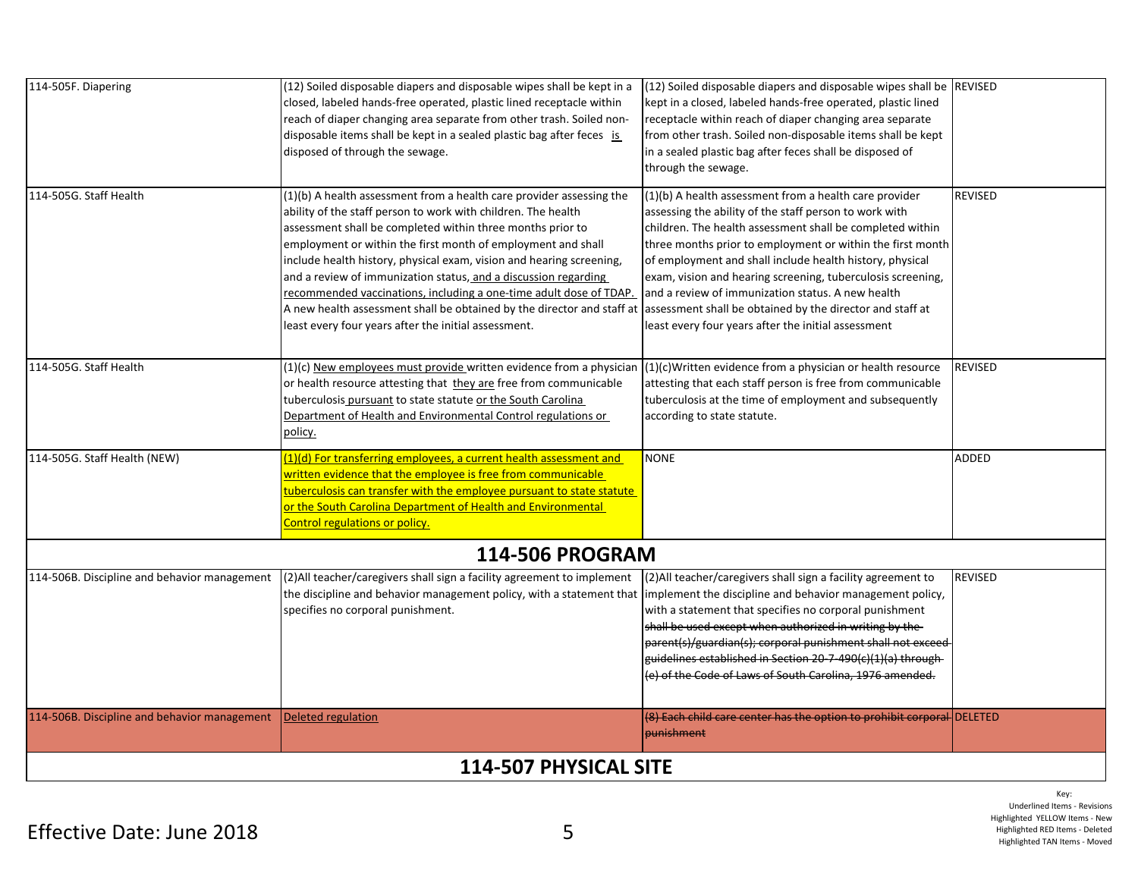| 114-505F. Diapering                          | (12) Soiled disposable diapers and disposable wipes shall be kept in a<br>closed, labeled hands-free operated, plastic lined receptacle within<br>reach of diaper changing area separate from other trash. Soiled non-<br>disposable items shall be kept in a sealed plastic bag after feces is                                                                                                                                                                                                                                                                                                                        | (12) Soiled disposable diapers and disposable wipes shall be REVISED<br>kept in a closed, labeled hands-free operated, plastic lined<br>receptacle within reach of diaper changing area separate<br>from other trash. Soiled non-disposable items shall be kept                                                                                                                                                                                                                                                                                 |                |
|----------------------------------------------|------------------------------------------------------------------------------------------------------------------------------------------------------------------------------------------------------------------------------------------------------------------------------------------------------------------------------------------------------------------------------------------------------------------------------------------------------------------------------------------------------------------------------------------------------------------------------------------------------------------------|-------------------------------------------------------------------------------------------------------------------------------------------------------------------------------------------------------------------------------------------------------------------------------------------------------------------------------------------------------------------------------------------------------------------------------------------------------------------------------------------------------------------------------------------------|----------------|
|                                              | disposed of through the sewage.                                                                                                                                                                                                                                                                                                                                                                                                                                                                                                                                                                                        | in a sealed plastic bag after feces shall be disposed of<br>through the sewage.                                                                                                                                                                                                                                                                                                                                                                                                                                                                 |                |
| 114-505G. Staff Health                       | (1)(b) A health assessment from a health care provider assessing the<br>ability of the staff person to work with children. The health<br>assessment shall be completed within three months prior to<br>employment or within the first month of employment and shall<br>include health history, physical exam, vision and hearing screening,<br>and a review of immunization status, and a discussion regarding<br>recommended vaccinations, including a one-time adult dose of TDAP.<br>A new health assessment shall be obtained by the director and staff at<br>least every four years after the initial assessment. | (1)(b) A health assessment from a health care provider<br>assessing the ability of the staff person to work with<br>children. The health assessment shall be completed within<br>three months prior to employment or within the first month<br>of employment and shall include health history, physical<br>exam, vision and hearing screening, tuberculosis screening,<br>and a review of immunization status. A new health<br>assessment shall be obtained by the director and staff at<br>least every four years after the initial assessment | <b>REVISED</b> |
| 114-505G. Staff Health                       | (1)(c) New employees must provide written evidence from a physician<br>or health resource attesting that they are free from communicable<br>tuberculosis pursuant to state statute or the South Carolina<br>Department of Health and Environmental Control regulations or<br>policy.                                                                                                                                                                                                                                                                                                                                   | $(1)(c)$ Written evidence from a physician or health resource<br>attesting that each staff person is free from communicable<br>tuberculosis at the time of employment and subsequently<br>according to state statute.                                                                                                                                                                                                                                                                                                                           | <b>REVISED</b> |
| 114-505G. Staff Health (NEW)                 | (1)(d) For transferring employees, a current health assessment and<br>written evidence that the employee is free from communicable<br>tuberculosis can transfer with the employee pursuant to state statute<br>or the South Carolina Department of Health and Environmental<br>Control regulations or policy.                                                                                                                                                                                                                                                                                                          | <b>NONE</b>                                                                                                                                                                                                                                                                                                                                                                                                                                                                                                                                     | ADDED          |
|                                              | <b>114-506 PROGRAM</b>                                                                                                                                                                                                                                                                                                                                                                                                                                                                                                                                                                                                 |                                                                                                                                                                                                                                                                                                                                                                                                                                                                                                                                                 |                |
| 114-506B. Discipline and behavior management | (2) All teacher/caregivers shall sign a facility agreement to implement<br>the discipline and behavior management policy, with a statement that  implement the discipline and behavior management policy,<br>specifies no corporal punishment.                                                                                                                                                                                                                                                                                                                                                                         | (2) All teacher/caregivers shall sign a facility agreement to<br>with a statement that specifies no corporal punishment<br>shall be used except when authorized in writing by the-<br>parent(s)/guardian(s); corporal punishment shall not exceed<br>guidelines established in Section 20-7-490(c)(1)(a) through-<br>(e) of the Code of Laws of South Carolina, 1976 amended.                                                                                                                                                                   | <b>REVISED</b> |
| 114-506B. Discipline and behavior management | Deleted regulation                                                                                                                                                                                                                                                                                                                                                                                                                                                                                                                                                                                                     | (8) Each child care center has the option to prohibit corporal DELETED<br>punishment                                                                                                                                                                                                                                                                                                                                                                                                                                                            |                |
| 114-507 PHYSICAL SITE                        |                                                                                                                                                                                                                                                                                                                                                                                                                                                                                                                                                                                                                        |                                                                                                                                                                                                                                                                                                                                                                                                                                                                                                                                                 |                |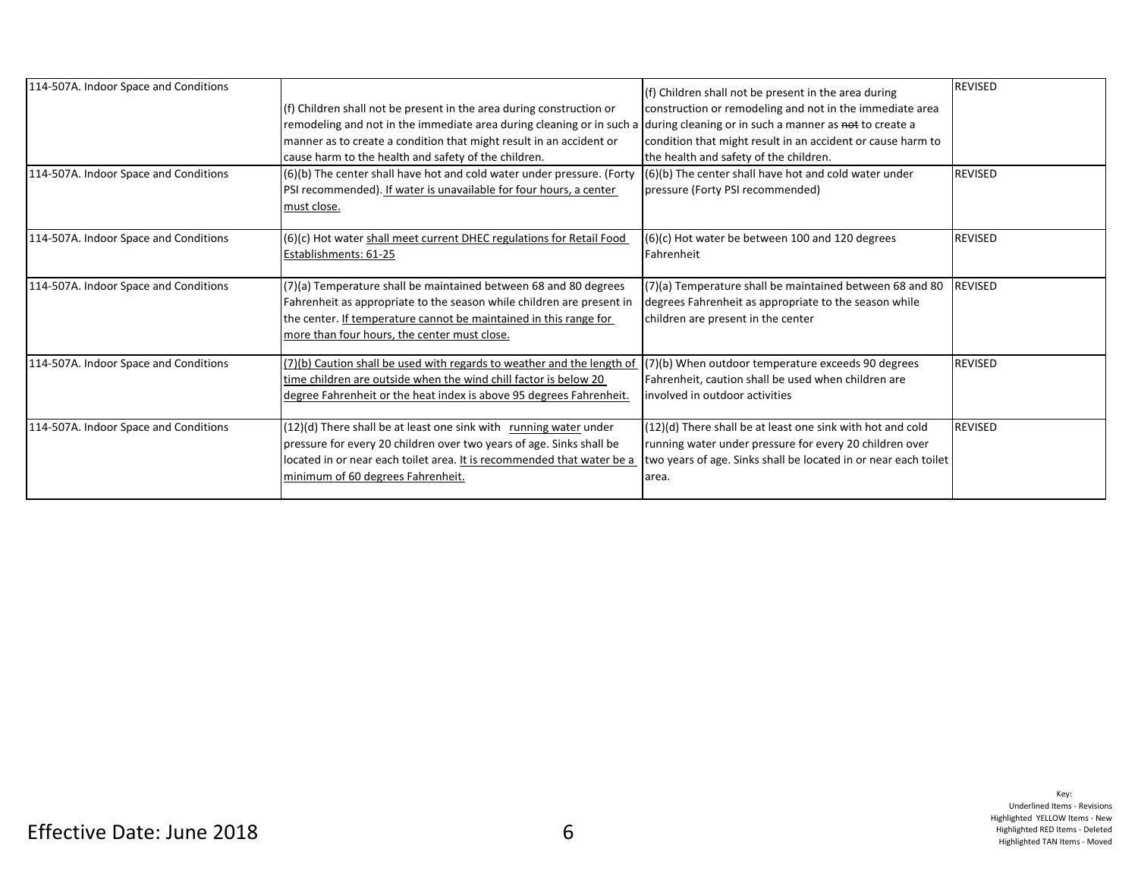| 114-507A. Indoor Space and Conditions |                                                                        | (f) Children shall not be present in the area during            | <b>REVISED</b> |
|---------------------------------------|------------------------------------------------------------------------|-----------------------------------------------------------------|----------------|
|                                       | (f) Children shall not be present in the area during construction or   | construction or remodeling and not in the immediate area        |                |
|                                       | remodeling and not in the immediate area during cleaning or in such a  | during cleaning or in such a manner as not to create a          |                |
|                                       | manner as to create a condition that might result in an accident or    | condition that might result in an accident or cause harm to     |                |
|                                       | cause harm to the health and safety of the children.                   | the health and safety of the children.                          |                |
| 114-507A. Indoor Space and Conditions | (6)(b) The center shall have hot and cold water under pressure. (Forty | (6)(b) The center shall have hot and cold water under           | <b>REVISED</b> |
|                                       | PSI recommended). If water is unavailable for four hours, a center     | pressure (Forty PSI recommended)                                |                |
|                                       | must close.                                                            |                                                                 |                |
| 114-507A. Indoor Space and Conditions | (6)(c) Hot water shall meet current DHEC regulations for Retail Food   | $(6)(c)$ Hot water be between 100 and 120 degrees               | <b>REVISED</b> |
|                                       | Establishments: 61-25                                                  | Fahrenheit                                                      |                |
|                                       |                                                                        |                                                                 |                |
| 114-507A. Indoor Space and Conditions | (7)(a) Temperature shall be maintained between 68 and 80 degrees       | (7)(a) Temperature shall be maintained between 68 and 80        | <b>REVISED</b> |
|                                       | Fahrenheit as appropriate to the season while children are present in  | degrees Fahrenheit as appropriate to the season while           |                |
|                                       | the center. If temperature cannot be maintained in this range for      | children are present in the center                              |                |
|                                       | more than four hours, the center must close.                           |                                                                 |                |
| 114-507A. Indoor Space and Conditions | (7)(b) Caution shall be used with regards to weather and the length of | (7)(b) When outdoor temperature exceeds 90 degrees              | <b>REVISED</b> |
|                                       | time children are outside when the wind chill factor is below 20       | Fahrenheit, caution shall be used when children are             |                |
|                                       | degree Fahrenheit or the heat index is above 95 degrees Fahrenheit.    | involved in outdoor activities                                  |                |
| 114-507A. Indoor Space and Conditions | (12)(d) There shall be at least one sink with running water under      | (12)(d) There shall be at least one sink with hot and cold      | <b>REVISED</b> |
|                                       | pressure for every 20 children over two years of age. Sinks shall be   | running water under pressure for every 20 children over         |                |
|                                       | located in or near each toilet area. It is recommended that water be a | two years of age. Sinks shall be located in or near each toilet |                |
|                                       | minimum of 60 degrees Fahrenheit.                                      | area.                                                           |                |
|                                       |                                                                        |                                                                 |                |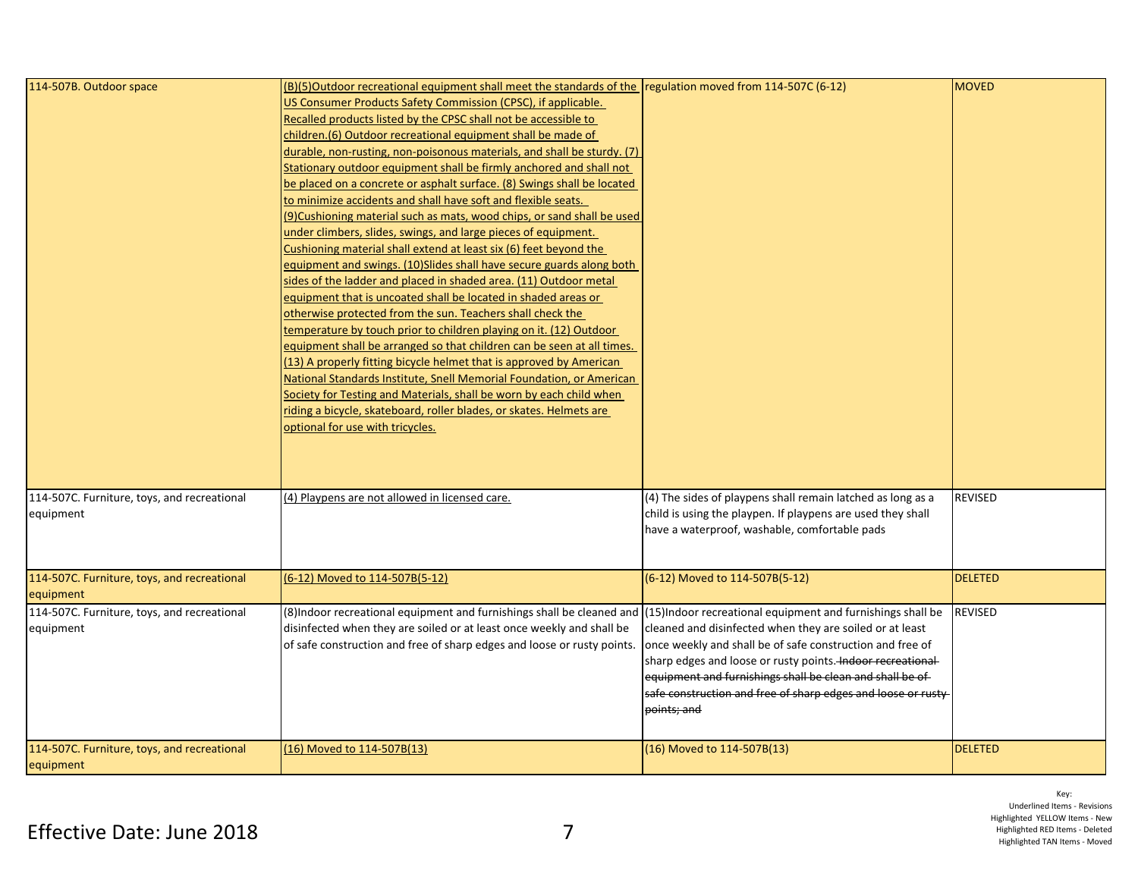| 114-507B. Outdoor space                                  | (B)(5)Outdoor recreational equipment shall meet the standards of the regulation moved from 114-507C (6-12)<br>US Consumer Products Safety Commission (CPSC), if applicable.<br>Recalled products listed by the CPSC shall not be accessible to<br>children.(6) Outdoor recreational equipment shall be made of<br>durable, non-rusting, non-poisonous materials, and shall be sturdy. (7)<br>Stationary outdoor equipment shall be firmly anchored and shall not<br>be placed on a concrete or asphalt surface. (8) Swings shall be located<br>to minimize accidents and shall have soft and flexible seats.<br>(9) Cushioning material such as mats, wood chips, or sand shall be used<br>under climbers, slides, swings, and large pieces of equipment.<br>Cushioning material shall extend at least six (6) feet beyond the<br>equipment and swings. (10)Slides shall have secure guards along both<br>sides of the ladder and placed in shaded area. (11) Outdoor metal<br>equipment that is uncoated shall be located in shaded areas or<br>otherwise protected from the sun. Teachers shall check the<br>temperature by touch prior to children playing on it. (12) Outdoor<br>equipment shall be arranged so that children can be seen at all times.<br>(13) A properly fitting bicycle helmet that is approved by American<br>National Standards Institute, Snell Memorial Foundation, or American<br>Society for Testing and Materials, shall be worn by each child when<br>riding a bicycle, skateboard, roller blades, or skates. Helmets are<br>optional for use with tricycles. |                                                                                                                                                                                                                                                                                                                                                                                                  | <b>MOVED</b>   |
|----------------------------------------------------------|----------------------------------------------------------------------------------------------------------------------------------------------------------------------------------------------------------------------------------------------------------------------------------------------------------------------------------------------------------------------------------------------------------------------------------------------------------------------------------------------------------------------------------------------------------------------------------------------------------------------------------------------------------------------------------------------------------------------------------------------------------------------------------------------------------------------------------------------------------------------------------------------------------------------------------------------------------------------------------------------------------------------------------------------------------------------------------------------------------------------------------------------------------------------------------------------------------------------------------------------------------------------------------------------------------------------------------------------------------------------------------------------------------------------------------------------------------------------------------------------------------------------------------------------------------------------------------------------|--------------------------------------------------------------------------------------------------------------------------------------------------------------------------------------------------------------------------------------------------------------------------------------------------------------------------------------------------------------------------------------------------|----------------|
| 114-507C. Furniture, toys, and recreational<br>equipment | (4) Playpens are not allowed in licensed care.                                                                                                                                                                                                                                                                                                                                                                                                                                                                                                                                                                                                                                                                                                                                                                                                                                                                                                                                                                                                                                                                                                                                                                                                                                                                                                                                                                                                                                                                                                                                               | (4) The sides of playpens shall remain latched as long as a<br>child is using the playpen. If playpens are used they shall<br>have a waterproof, washable, comfortable pads                                                                                                                                                                                                                      | <b>REVISED</b> |
| 114-507C. Furniture, toys, and recreational<br>equipment | (6-12) Moved to 114-507B(5-12)                                                                                                                                                                                                                                                                                                                                                                                                                                                                                                                                                                                                                                                                                                                                                                                                                                                                                                                                                                                                                                                                                                                                                                                                                                                                                                                                                                                                                                                                                                                                                               | (6-12) Moved to 114-507B(5-12)                                                                                                                                                                                                                                                                                                                                                                   | <b>DELETED</b> |
| 114-507C. Furniture, toys, and recreational<br>equipment | (8) Indoor recreational equipment and furnishings shall be cleaned and<br>disinfected when they are soiled or at least once weekly and shall be<br>of safe construction and free of sharp edges and loose or rusty points.                                                                                                                                                                                                                                                                                                                                                                                                                                                                                                                                                                                                                                                                                                                                                                                                                                                                                                                                                                                                                                                                                                                                                                                                                                                                                                                                                                   | (15) Indoor recreational equipment and furnishings shall be<br>cleaned and disinfected when they are soiled or at least<br>once weekly and shall be of safe construction and free of<br>sharp edges and loose or rusty points. Indoor recreational-<br>equipment and furnishings shall be clean and shall be of-<br>safe construction and free of sharp edges and loose or rusty-<br>points; and | <b>REVISED</b> |
| 114-507C. Furniture, toys, and recreational<br>equipment | (16) Moved to 114-507B(13)                                                                                                                                                                                                                                                                                                                                                                                                                                                                                                                                                                                                                                                                                                                                                                                                                                                                                                                                                                                                                                                                                                                                                                                                                                                                                                                                                                                                                                                                                                                                                                   | (16) Moved to 114-507B(13)                                                                                                                                                                                                                                                                                                                                                                       | <b>DELETED</b> |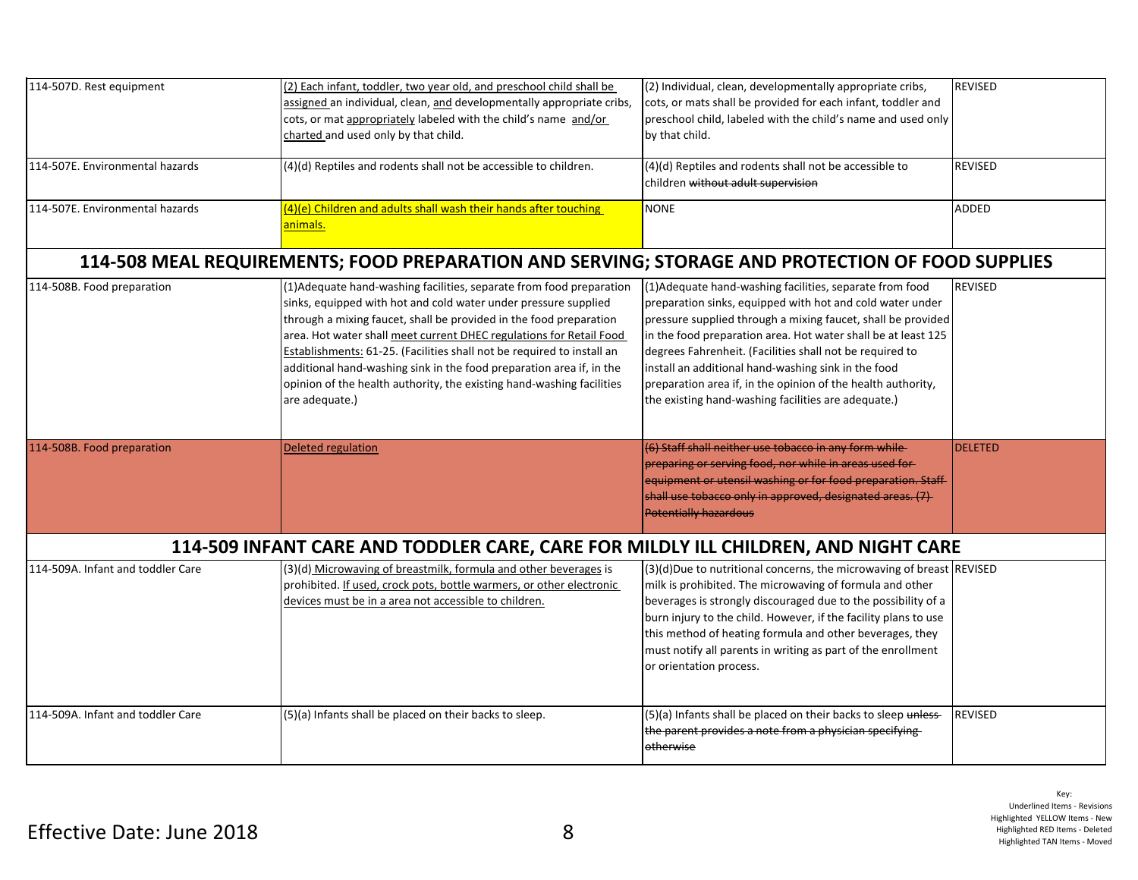| 114-507D. Rest equipment                                                                         | (2) Each infant, toddler, two year old, and preschool child shall be<br>assigned an individual, clean, and developmentally appropriate cribs,<br>cots, or mat appropriately labeled with the child's name and/or<br>charted and used only by that child.                                                                                                                                                                                                                                                                          | (2) Individual, clean, developmentally appropriate cribs,<br>cots, or mats shall be provided for each infant, toddler and<br>preschool child, labeled with the child's name and used only<br>by that child.                                                                                                                                                                                                                                                                                      | <b>REVISED</b> |  |
|--------------------------------------------------------------------------------------------------|-----------------------------------------------------------------------------------------------------------------------------------------------------------------------------------------------------------------------------------------------------------------------------------------------------------------------------------------------------------------------------------------------------------------------------------------------------------------------------------------------------------------------------------|--------------------------------------------------------------------------------------------------------------------------------------------------------------------------------------------------------------------------------------------------------------------------------------------------------------------------------------------------------------------------------------------------------------------------------------------------------------------------------------------------|----------------|--|
| 114-507E. Environmental hazards                                                                  | (4)(d) Reptiles and rodents shall not be accessible to children.                                                                                                                                                                                                                                                                                                                                                                                                                                                                  | (4)(d) Reptiles and rodents shall not be accessible to<br>children without adult supervision                                                                                                                                                                                                                                                                                                                                                                                                     | <b>REVISED</b> |  |
| 114-507E. Environmental hazards                                                                  | (4)(e) Children and adults shall wash their hands after touching<br>animals.                                                                                                                                                                                                                                                                                                                                                                                                                                                      | <b>NONE</b>                                                                                                                                                                                                                                                                                                                                                                                                                                                                                      | ADDED          |  |
| 114-508 MEAL REQUIREMENTS; FOOD PREPARATION AND SERVING; STORAGE AND PROTECTION OF FOOD SUPPLIES |                                                                                                                                                                                                                                                                                                                                                                                                                                                                                                                                   |                                                                                                                                                                                                                                                                                                                                                                                                                                                                                                  |                |  |
| 114-508B. Food preparation                                                                       | (1) Adequate hand-washing facilities, separate from food preparation<br>sinks, equipped with hot and cold water under pressure supplied<br>through a mixing faucet, shall be provided in the food preparation<br>area. Hot water shall meet current DHEC regulations for Retail Food<br>Establishments: 61-25. (Facilities shall not be required to install an<br>additional hand-washing sink in the food preparation area if, in the<br>opinion of the health authority, the existing hand-washing facilities<br>are adequate.) | (1) Adequate hand-washing facilities, separate from food<br>preparation sinks, equipped with hot and cold water under<br>pressure supplied through a mixing faucet, shall be provided<br>in the food preparation area. Hot water shall be at least 125<br>degrees Fahrenheit. (Facilities shall not be required to<br>install an additional hand-washing sink in the food<br>preparation area if, in the opinion of the health authority,<br>the existing hand-washing facilities are adequate.) | <b>REVISED</b> |  |
| 114-508B. Food preparation                                                                       | <b>Deleted regulation</b>                                                                                                                                                                                                                                                                                                                                                                                                                                                                                                         | (6) Staff shall neither use tobacco in any form while-<br>preparing or serving food, nor while in areas used for-<br>equipment or utensil washing or for food preparation. Staff-<br>shall use tobacco only in approved, designated areas. (7)<br><b>Potentially hazardous</b>                                                                                                                                                                                                                   | <b>DELETED</b> |  |
| 114-509 INFANT CARE AND TODDLER CARE, CARE FOR MILDLY ILL CHILDREN, AND NIGHT CARE               |                                                                                                                                                                                                                                                                                                                                                                                                                                                                                                                                   |                                                                                                                                                                                                                                                                                                                                                                                                                                                                                                  |                |  |
| 114-509A. Infant and toddler Care                                                                | (3)(d) Microwaving of breastmilk, formula and other beverages is<br>prohibited. If used, crock pots, bottle warmers, or other electronic<br>devices must be in a area not accessible to children.                                                                                                                                                                                                                                                                                                                                 | $(3)(d)$ Due to nutritional concerns, the microwaving of breast REVISED<br>milk is prohibited. The microwaving of formula and other<br>beverages is strongly discouraged due to the possibility of a<br>burn injury to the child. However, if the facility plans to use<br>this method of heating formula and other beverages, they<br>must notify all parents in writing as part of the enrollment<br>or orientation process.                                                                   |                |  |
| 114-509A. Infant and toddler Care                                                                | (5)(a) Infants shall be placed on their backs to sleep.                                                                                                                                                                                                                                                                                                                                                                                                                                                                           | (5)(a) Infants shall be placed on their backs to sleep unless-<br>the parent provides a note from a physician specifying-<br>otherwise                                                                                                                                                                                                                                                                                                                                                           | <b>REVISED</b> |  |